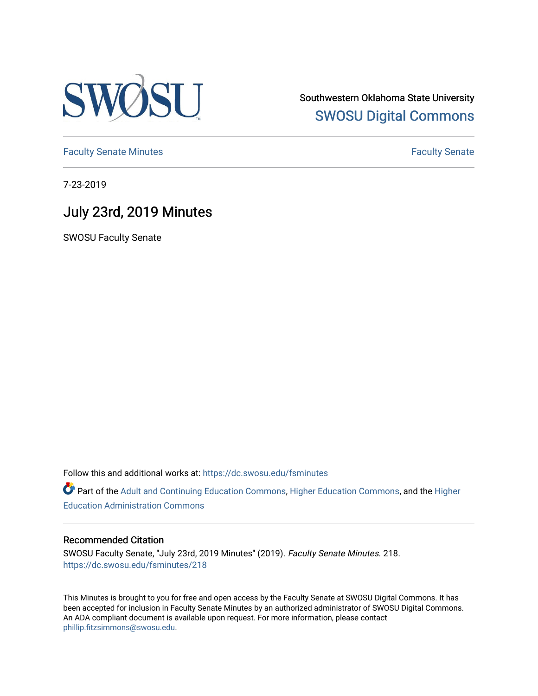

Southwestern Oklahoma State University [SWOSU Digital Commons](https://dc.swosu.edu/) 

[Faculty Senate Minutes](https://dc.swosu.edu/fsminutes) **Faculty** Senate Minutes

7-23-2019

## July 23rd, 2019 Minutes

SWOSU Faculty Senate

Follow this and additional works at: [https://dc.swosu.edu/fsminutes](https://dc.swosu.edu/fsminutes?utm_source=dc.swosu.edu%2Ffsminutes%2F218&utm_medium=PDF&utm_campaign=PDFCoverPages) 

Part of the [Adult and Continuing Education Commons,](http://network.bepress.com/hgg/discipline/1375?utm_source=dc.swosu.edu%2Ffsminutes%2F218&utm_medium=PDF&utm_campaign=PDFCoverPages) [Higher Education Commons,](http://network.bepress.com/hgg/discipline/1245?utm_source=dc.swosu.edu%2Ffsminutes%2F218&utm_medium=PDF&utm_campaign=PDFCoverPages) and the [Higher](http://network.bepress.com/hgg/discipline/791?utm_source=dc.swosu.edu%2Ffsminutes%2F218&utm_medium=PDF&utm_campaign=PDFCoverPages) [Education Administration Commons](http://network.bepress.com/hgg/discipline/791?utm_source=dc.swosu.edu%2Ffsminutes%2F218&utm_medium=PDF&utm_campaign=PDFCoverPages) 

#### Recommended Citation

SWOSU Faculty Senate, "July 23rd, 2019 Minutes" (2019). Faculty Senate Minutes. 218. [https://dc.swosu.edu/fsminutes/218](https://dc.swosu.edu/fsminutes/218?utm_source=dc.swosu.edu%2Ffsminutes%2F218&utm_medium=PDF&utm_campaign=PDFCoverPages) 

This Minutes is brought to you for free and open access by the Faculty Senate at SWOSU Digital Commons. It has been accepted for inclusion in Faculty Senate Minutes by an authorized administrator of SWOSU Digital Commons. An ADA compliant document is available upon request. For more information, please contact [phillip.fitzsimmons@swosu.edu](mailto:phillip.fitzsimmons@swosu.edu).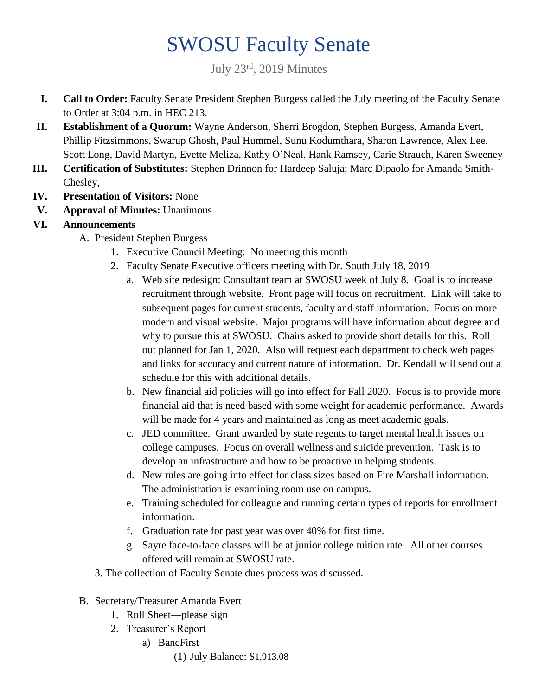# SWOSU Faculty Senate

July 23rd, 2019 Minutes

- **I. Call to Order:** Faculty Senate President Stephen Burgess called the July meeting of the Faculty Senate to Order at 3:04 p.m. in HEC 213.
- **II. Establishment of a Quorum:** Wayne Anderson, Sherri Brogdon, Stephen Burgess, Amanda Evert, Phillip Fitzsimmons, Swarup Ghosh, Paul Hummel, Sunu Kodumthara, Sharon Lawrence, Alex Lee, Scott Long, David Martyn, Evette Meliza, Kathy O'Neal, Hank Ramsey, Carie Strauch, Karen Sweeney
- **III. Certification of Substitutes:** Stephen Drinnon for Hardeep Saluja; Marc Dipaolo for Amanda Smith-Chesley,
- **IV. Presentation of Visitors:** None
- **V. Approval of Minutes:** Unanimous
- **VI. Announcements**
	- A. President Stephen Burgess
		- 1. Executive Council Meeting: No meeting this month
		- 2. Faculty Senate Executive officers meeting with Dr. South July 18, 2019
			- a. Web site redesign: Consultant team at SWOSU week of July 8. Goal is to increase recruitment through website. Front page will focus on recruitment. Link will take to subsequent pages for current students, faculty and staff information. Focus on more modern and visual website. Major programs will have information about degree and why to pursue this at SWOSU. Chairs asked to provide short details for this. Roll out planned for Jan 1, 2020. Also will request each department to check web pages and links for accuracy and current nature of information. Dr. Kendall will send out a schedule for this with additional details.
			- b. New financial aid policies will go into effect for Fall 2020. Focus is to provide more financial aid that is need based with some weight for academic performance. Awards will be made for 4 years and maintained as long as meet academic goals.
			- c. JED committee. Grant awarded by state regents to target mental health issues on college campuses. Focus on overall wellness and suicide prevention. Task is to develop an infrastructure and how to be proactive in helping students.
			- d. New rules are going into effect for class sizes based on Fire Marshall information. The administration is examining room use on campus.
			- e. Training scheduled for colleague and running certain types of reports for enrollment information.
			- f. Graduation rate for past year was over 40% for first time.
			- g. Sayre face-to-face classes will be at junior college tuition rate. All other courses offered will remain at SWOSU rate.
		- 3. The collection of Faculty Senate dues process was discussed.
	- B. Secretary/Treasurer Amanda Evert
		- 1. Roll Sheet—please sign
		- 2. Treasurer's Report
			- a) BancFirst
				- (1) July Balance: \$1,913.08